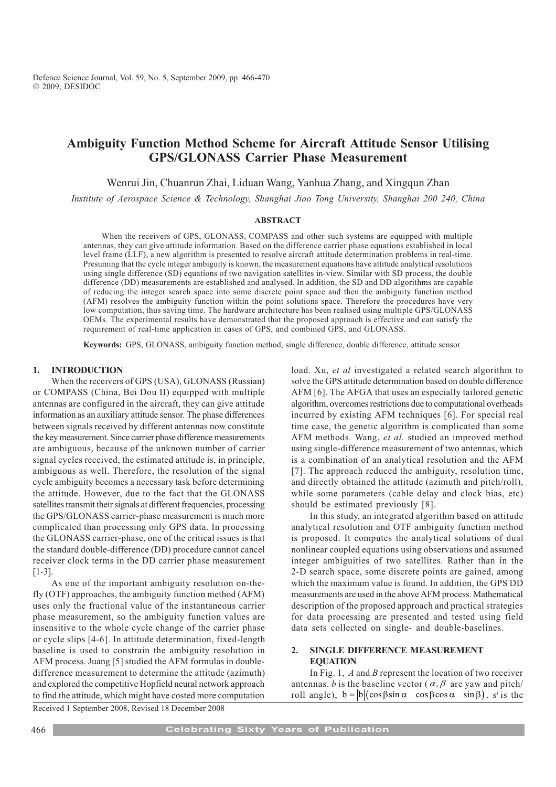# Ambiguity Function Method Scheme for Aircraft Attitude Sensor Utilising GPS/GLONASS Carrier Phase Measurement

Wenrui Jin, Chuanrun Zhai, Liduan Wang, Yanhua Zhang, and Xingqun Zhan

Institute of Aerospace Science & Technology, Shanghai Jiao Tong University, Shanghai 200 240, China

## ABSTRACT

When the receivers of GPS, GLONASS, COMPASS and other such systems are equipped with multiple antennas, they can give attitude information. Based on the difference carrier phase equations established in local level frame (LLF), a new algorithm is presented to resolve aircraft attitude determination problems in real-time. Presuming that the cycle integer ambiguity is known, the measurement equations have attitude analytical resolutions using single difference (SD) equations of two navigation satellites in-view. Similar with SD process, the double difference (DD) measurements are established and analysed. In addition, the SD and DD algorithms are capable of reducing the integer search space into some discrete point space and then the ambiguity function method (AFM) resolves the ambiguity function within the point solutions space. Therefore the procedures have very low computation, thus saving time. The hardware architecture has been realised using multiple GPS/GLONASS OEMs. The experimental results have demonstrated that the proposed approach is effective and can satisfy the requirement of real-time application in cases of GPS, and combined GPS, and GLONASS.

Keywords: GPS, GLONASS, ambiguity function method, single difference, double difference, attitude sensor

## 1. INTRODUCTION

When the receivers of GPS (USA), GLONASS (Russian) or COMPASS (China, Bei Dou II) equipped with multiple antennas are configured in the aircraft, they can give attitude information as an auxiliary attitude sensor. The phase differences between signals received by different antennas now constitute the key measurement. Since carrier phase difference measurements are ambiguous, because of the unknown number of carrier signal cycles received, the estimated attitude is, in principle, ambiguous as well. Therefore, the resolution of the signal cycle ambiguity becomes a necessary task before determining the attitude. However, due to the fact that the GLONASS satellites transmit their signals at different frequencies, processing the GPS/GLONASS carrier-phase measurement is much more complicated than processing only GPS data. In processing the GLONASS carrier-phase, one of the critical issues is that the standard double-difference (DD) procedure cannot cancel receiver clock terms in the DD carrier phase measurement [1-3].

As one of the important ambiguity resolution on-thefly (OTF) approaches, the ambiguity function method (AFM) uses only the fractional value of the instantaneous carrier phase measurement, so the ambiguity function values are insensitive to the whole cycle change of the carrier phase or cycle slips [4-6]. In attitude determination, fixed-length baseline is used to constrain the ambiguity resolution in AFM process. Juang [5] studied the AFM formulas in doubledifference measurement to determine the attitude (azimuth) and explored the competitive Hopfield neural network approach to find the attitude, which might have costed more computation

load. Xu, et al investigated a related search algorithm to solve the GPS attitude determination based on double difference AFM [6]. The AFGA that uses an especially tailored genetic algorithm, overcomes restrictions due to computational overheads incurred by existing AFM techniques [6]. For special real time case, the genetic algorithm is complicated than some AFM methods. Wang, et al. studied an improved method using single-difference measurement of two antennas, which is a combination of an analytical resolution and the AFM [7]. The approach reduced the ambiguity, resolution time, and directly obtained the attitude (azimuth and pitch/roll), while some parameters (cable delay and clock bias, etc) should be estimated previously [8].

In this study, an integrated algorithm based on attitude analytical resolution and OTF ambiguity function method is proposed. It computes the analytical solutions of dual nonlinear coupled equations using observations and assumed integer ambiguities of two satellites. Rather than in the 2-D search space, some discrete points are gained, among which the maximum value is found. In addition, the GPS DD measurements are used in the above AFM process. Mathematical description of the proposed approach and practical strategies for data processing are presented and tested using field data sets collected on single- and double-baselines.

# 2. SINGLE DIFFERENCE MEASUREMENT **EQUATION**

In Fig. 1,  $A$  and  $B$  represent the location of two receiver antennas. b is the baseline vector ( $\alpha, \beta$  are yaw and pitch/ roll angle),  $b = |b| (\cos \beta \sin \alpha \cos \beta \cos \alpha \sin \beta)$ . s<sup>i</sup> is the

Received 1 September 2008, Revised 18 December 2008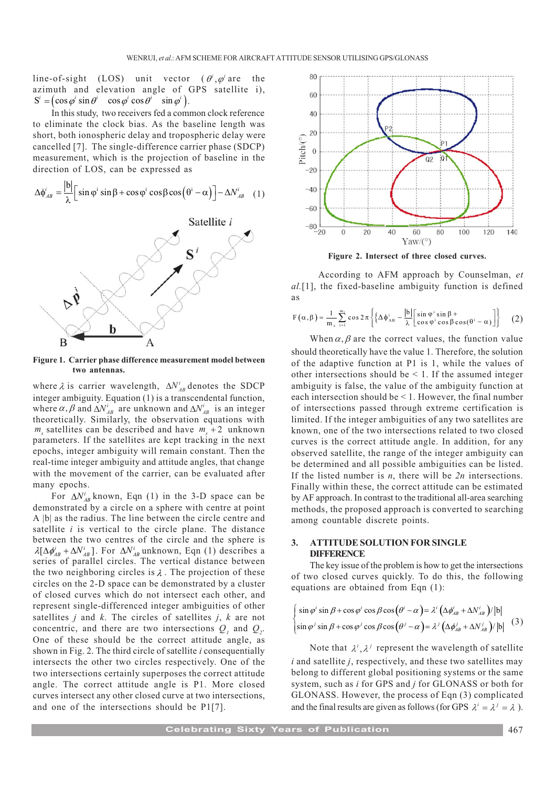line-of-sight (LOS) unit vector  $(\theta^i, \varphi^i)$  are the azimuth and elevation angle of GPS satellite i),  $S^i = (\cos \varphi^i \sin \theta^i \quad \cos \varphi^i \cos \theta^i \quad \sin \varphi^i ).$ 

In this study, two receivers fed a common clock reference to eliminate the clock bias. As the baseline length was short, both ionospheric delay and tropospheric delay were cancelled [7]. The single-difference carrier phase (SDCP) measurement, which is the projection of baseline in the direction of LOS, can be expressed as

$$
\Delta \phi_{AB}^i = \frac{|\mathbf{b}|}{\lambda} \Big[ \sin \varphi^i \sin \beta + \cos \varphi^i \cos \beta \cos (\theta^i - \alpha) \Big] - \Delta N_{AB}^i \quad (1)
$$



Figure 1. Carrier phase difference measurement model between two antennas.

where  $\lambda$  is carrier wavelength,  $\Delta N_{AB}^i$  denotes the SDCP integer ambiguity. Equation (1) is a transcendental function, where  $\alpha$ ,  $\beta$  and  $\Delta N_{AB}^i$  are unknown and  $\Delta N_{AB}^i$  is an integer theoretically. Similarly, the observation equations with  $m_s$  satellites can be described and have  $m_s + 2$  unknown parameters. If the satellites are kept tracking in the next epochs, integer ambiguity will remain constant. Then the real-time integer ambiguity and attitude angles, that change with the movement of the carrier, can be evaluated after many epochs.

For  $\Delta N_{AB}^i$  known, Eqn (1) in the 3-D space can be demonstrated by a circle on a sphere with centre at point A |b| as the radius. The line between the circle centre and satellite  $i$  is vertical to the circle plane. The distance between the two centres of the circle and the sphere is  $\lambda[\Delta \phi_{AB}^i + \Delta N_{AB}^i]$ . For  $\Delta N_{AB}^i$  unknown, Eqn (1) describes a series of parallel circles. The vertical distance between the two neighboring circles is  $\lambda$ . The projection of these circles on the 2-D space can be demonstrated by a cluster of closed curves which do not intersect each other, and represent single-differenced integer ambiguities of other satellites  $j$  and  $k$ . The circles of satellites  $j$ ,  $k$  are not concentric, and there are two intersections  $Q_i$  and  $Q_i$ . One of these should be the correct attitude angle, as shown in Fig. 2. The third circle of satellite *i* consequentially intersects the other two circles respectively. One of the two intersections certainly superposes the correct attitude angle. The correct attitude angle is P1. More closed curves intersect any other closed curve at two intersections, and one of the intersections should be P1[7].



Figure 2. Intersect of three closed curves.

 According to AFM approach by Counselman, et al.[1], the fixed-baseline ambiguity function is defined as

$$
F(\alpha, \beta) = \frac{1}{m_s} \sum_{i=1}^{m_s} \cos 2\pi \left\{ \left\{ \Delta \phi_{AB}^i - \frac{|b|}{\lambda} \left[ \sin \phi^i \sin \beta + \cos \beta \cos(\theta^i - \alpha) \right] \right\} \right\}
$$
 (2)

When  $\alpha$ ,  $\beta$  are the correct values, the function value should theoretically have the value 1. Therefore, the solution of the adaptive function at P1 is 1, while the values of other intersections should be  $\leq 1$ . If the assumed integer ambiguity is false, the value of the ambiguity function at each intersection should be < 1. However, the final number of intersections passed through extreme certification is limited. If the integer ambiguities of any two satellites are known, one of the two intersections related to two closed curves is the correct attitude angle. In addition, for any observed satellite, the range of the integer ambiguity can be determined and all possible ambiguities can be listed. If the listed number is  $n$ , there will be  $2n$  intersections. Finally within these, the correct attitude can be estimated by AF approach. In contrast to the traditional all-area searching methods, the proposed approach is converted to searching among countable discrete points.

## 3. ATTITUDE SOLUTION FOR SINGLE **DIFFERENCE**

The key issue of the problem is how to get the intersections of two closed curves quickly. To do this, the following equations are obtained from Eqn (1):

$$
\begin{cases}\n\sin \varphi' \sin \beta + \cos \varphi' \cos \beta \cos (\theta' - \alpha) = \lambda' \left( \Delta \phi'_{AB} + \Delta N'_{AB} \right) / |b| \\
\sin \varphi' \sin \beta + \cos \varphi' \cos \beta \cos (\theta' - \alpha) = \lambda' \left( \Delta \phi'_{AB} + \Delta N'_{AB} \right) / |b| \n\end{cases} (3)
$$

Note that  $\lambda^i$ ,  $\lambda^j$  represent the wavelength of satellite i and satellite *i*, respectively, and these two satellites may belong to different global positioning systems or the same system, such as i for GPS and j for GLONASS or both for GLONASS. However, the process of Eqn (3) complicated and the final results are given as follows (for GPS  $\lambda^i = \lambda^j = \lambda$ ).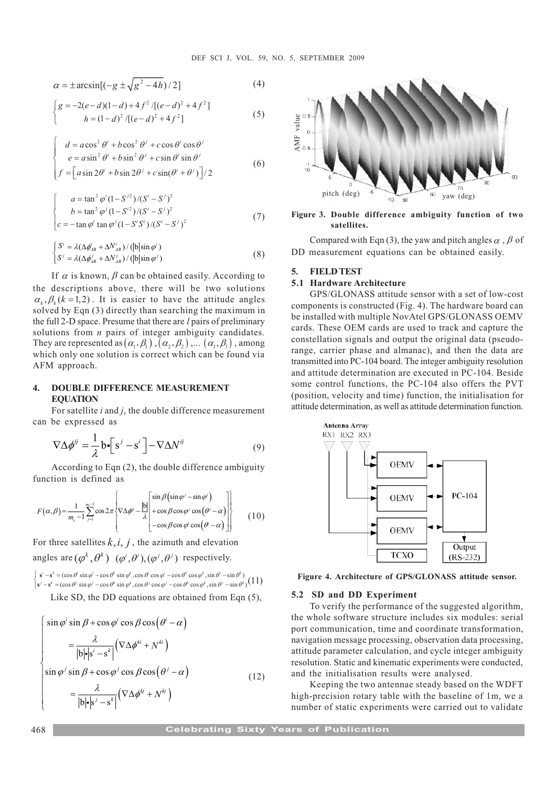$$
\alpha = \pm \arcsin[(-g \pm \sqrt{g^2 - 4h})/2]
$$
 (4)

$$
\begin{cases}\ng = -2(e-d)(1-d) + 4f^2/[(e-d)^2 + 4f^2] \\
h = (1-d)^2/[(e-d)^2 + 4f^2]\n\end{cases}
$$
\n(5)

$$
\begin{cases}\n d = a\cos^2\theta' + b\cos^2\theta' + c\cos\theta'\cos\theta' \\
 e = a\sin^2\theta' + b\sin^2\theta' + c\sin\theta'\sin\theta' \\
 f = \left[ a\sin 2\theta' + b\sin 2\theta' + c\sin(\theta' + \theta') \right] / 2\n\end{cases}
$$
\n(6)

$$
\begin{cases}\n a = \tan^2 \varphi^i (1 - S^{j2}) / (S^i - S^j)^2 \\
 b = \tan^2 \varphi^j (1 - S^{i2}) / (S^i - S^j)^2 \\
 c = -\tan \varphi^i \tan \varphi^j (1 - S^i S^i) / (S^i - S^j)^2\n\end{cases}
$$
\n(7)

$$
\begin{cases}\nS^i = \lambda (\Delta \phi_{AB}^i + \Delta N_{AB}^i) / (|b| \sin \varphi^i) \\
S^j = \lambda (\Delta \phi_{AB}^j + \Delta N_{AB}^j) / (|b| \sin \varphi^j)\n\end{cases}
$$
\n(8)

If  $\alpha$  is known,  $\beta$  can be obtained easily. According to the descriptions above, there will be two solutions  $\alpha_k$ ,  $\beta_k$ (k = 1,2). It is easier to have the attitude angles solved by Eqn (3) directly than searching the maximum in the full 2-D space. Presume that there are  $l$  pairs of preliminary solutions from  $n$  pairs of integer ambiguity candidates. They are represented as  $(\alpha_1, \beta_1)$ ,  $(\alpha_2, \beta_2)$ ,...  $(\alpha_i, \beta_i)$ , among which only one solution is correct which can be found via AFM approach.

## 4. DOUBLE DIFFERENCE MEASUREMENT **EQUATION**

For satellite *i* and *j*, the double difference measurement can be expressed as

$$
\nabla \Delta \phi^{ij} = \frac{1}{\lambda} b \cdot \left[ s^j - s^i \right] - \nabla \Delta N^{ij}
$$
 (9)

According to Eqn (2), the double difference ambiguity function is defined as

$$
F(\alpha, \beta) = \frac{1}{m_s - 1} \sum_{j=1}^{m_s - 1} \cos 2\pi \left\{ \nabla \Delta \phi^{ij} - \frac{|b|}{\lambda} \begin{bmatrix} \sin \beta (\sin \varphi' - \sin \varphi') \\ + \cos \beta \cos \varphi' \cos (\theta' - \alpha) \\ -\cos \beta \cos \varphi \cos (\theta' - \alpha) \end{bmatrix} \right\}
$$
(10)

For three satellites  $k, i, j$ , the azimuth and elevation angles are  $(\varphi^k, \theta^k)$   $(\varphi^i, \theta^i), (\varphi^j, \theta^j)$  respectively.

 $\mathbf{s}^i - \mathbf{s}^k = (\cos \theta^i \sin \varphi^i - \cos \theta^k \sin \varphi^k, \cos \theta^i \cos \varphi^i - \cos \theta^k \cos \varphi^k, \sin \theta^i - \sin \theta^k)$  $\int s' - s^k = (\cos \theta' \sin \varphi' - \cos \theta^k \sin \varphi^k, \cos \theta' \cos \varphi' - \cos \theta^k \cos \varphi^k, \sin \theta' - \sin \theta^k)$ <br>  $\int s' - s^k = (\cos \theta' \sin \varphi' - \cos \theta^k \sin \varphi^k, \cos \theta' \cos \varphi' - \cos \theta^k \cos \varphi^k, \sin \theta' - \sin \theta^k)$  (11)

Like SD, the DD equations are obtained from Eqn (5),

$$
\begin{cases}\n\sin \varphi' \sin \beta + \cos \varphi' \cos \beta \cos (\theta' - \alpha) \\
= \frac{\lambda}{|\mathbf{b}|\mathbf{s}|\mathbf{s} - \mathbf{s}^k|} (\nabla \Delta \phi^{ki} + N^{ki}) \\
\sin \varphi' \sin \beta + \cos \varphi' \cos \beta \cos (\theta' - \alpha) \\
= \frac{\lambda}{|\mathbf{b}|\mathbf{s}|\mathbf{s} - \mathbf{s}^k|} (\nabla \Delta \phi^{kj} + N^{kj})\n\end{cases}
$$
\n(12)



Figure 3. Double difference ambiguity function of two satellites.

Compared with Eqn (3), the yaw and pitch angles  $\alpha$ ,  $\beta$  of DD measurement equations can be obtained easily.

#### 5. FIELD TEST

## 5.1 Hardware Architecture

GPS/GLONASS attitude sensor with a set of low-cost components is constructed (Fig. 4). The hardware board can be installed with multiple NovAtel GPS/GLONASS OEMV cards. These OEM cards are used to track and capture the constellation signals and output the original data (pseudorange, carrier phase and almanac), and then the data are transmitted into PC-104 board. The integer ambiguity resolution and attitude determination are executed in PC-104. Beside some control functions, the PC-104 also offers the PVT (position, velocity and time) function, the initialisation for attitude determination, as well as attitude determination function.



Figure 4. Architecture of GPS/GLONASS attitude sensor.

#### 5.2 SD and DD Experiment

To verify the performance of the suggested algorithm, the whole software structure includes six modules: serial port communication, time and coordinate transformation, navigation message processing, observation data processing, attitude parameter calculation, and cycle integer ambiguity resolution. Static and kinematic experiments were conducted, and the initialisation results were analysed.

Keeping the two antennae steady based on the WDFT high-precision rotary table with the baseline of 1m, we a number of static experiments were carried out to validate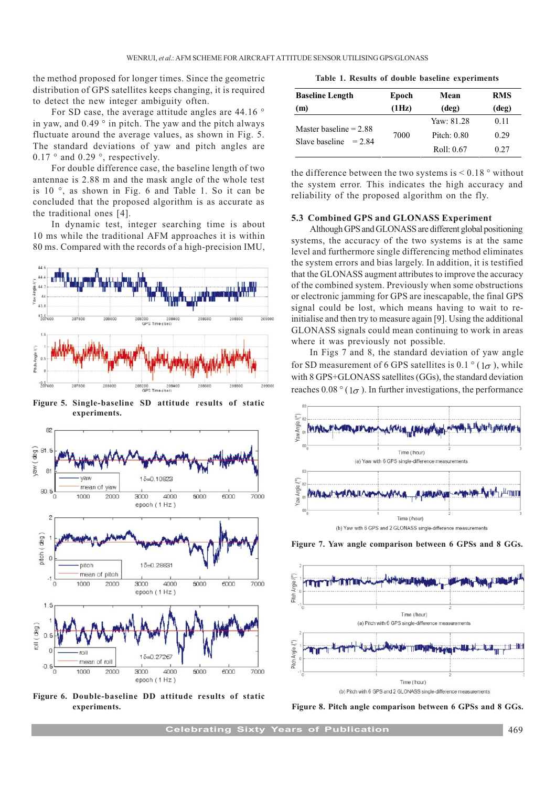the method proposed for longer times. Since the geometric distribution of GPS satellites keeps changing, it is required to detect the new integer ambiguity often.

For SD case, the average attitude angles are 44.16 ° in yaw, and 0.49 ° in pitch. The yaw and the pitch always fluctuate around the average values, as shown in Fig. 5. The standard deviations of yaw and pitch angles are 0.17 ° and 0.29 °, respectively.

For double difference case, the baseline length of two antennae is 2.88 m and the mask angle of the whole test is 10 °, as shown in Fig. 6 and Table 1. So it can be concluded that the proposed algorithm is as accurate as the traditional ones [4].

In dynamic test, integer searching time is about 10 ms while the traditional AFM approaches it is within 80 ms. Compared with the records of a high-precision IMU,



Figure 5. Single-baseline SD attitude results of static experiments.



Figure 6. Double-baseline DD attitude results of static

|  |  |  |  |  |  | Table 1. Results of double baseline experiments |
|--|--|--|--|--|--|-------------------------------------------------|
|--|--|--|--|--|--|-------------------------------------------------|

| <b>Baseline Length</b>     | Epoch | Mean           | <b>RMS</b><br>(deg) |  |
|----------------------------|-------|----------------|---------------------|--|
| (m)                        | (1Hz) | $(\text{deg})$ |                     |  |
|                            | 7000  | Yaw: 81.28     | 0.11                |  |
| Master baseline $= 2.88$   |       | Pitch: 0.80    | 0.29                |  |
| Slave baseline<br>$= 2.84$ |       | Roll: 0.67     | 0.27                |  |

the difference between the two systems is  $\leq 0.18$  ° without the system error. This indicates the high accuracy and reliability of the proposed algorithm on the fly.

### 5.3 Combined GPS and GLONASS Experiment

Although GPS and GLONASS are different global positioning systems, the accuracy of the two systems is at the same level and furthermore single differencing method eliminates the system errors and bias largely. In addition, it is testified that the GLONASS augment attributes to improve the accuracy of the combined system. Previously when some obstructions or electronic jamming for GPS are inescapable, the final GPS signal could be lost, which means having to wait to reinitialise and then try to measure again [9]. Using the additional GLONASS signals could mean continuing to work in areas where it was previously not possible.

In Figs 7 and 8, the standard deviation of yaw angle for SD measurement of 6 GPS satellites is 0.1  $\degree$  (1 $\sigma$ ), while with 8 GPS+GLONASS satellites (GGs), the standard deviation reaches 0.08  $\degree$  (1 $\sigma$ ). In further investigations, the performance







experiments. Figure 8. Pitch angle comparison between 6 GPSs and 8 GGs.